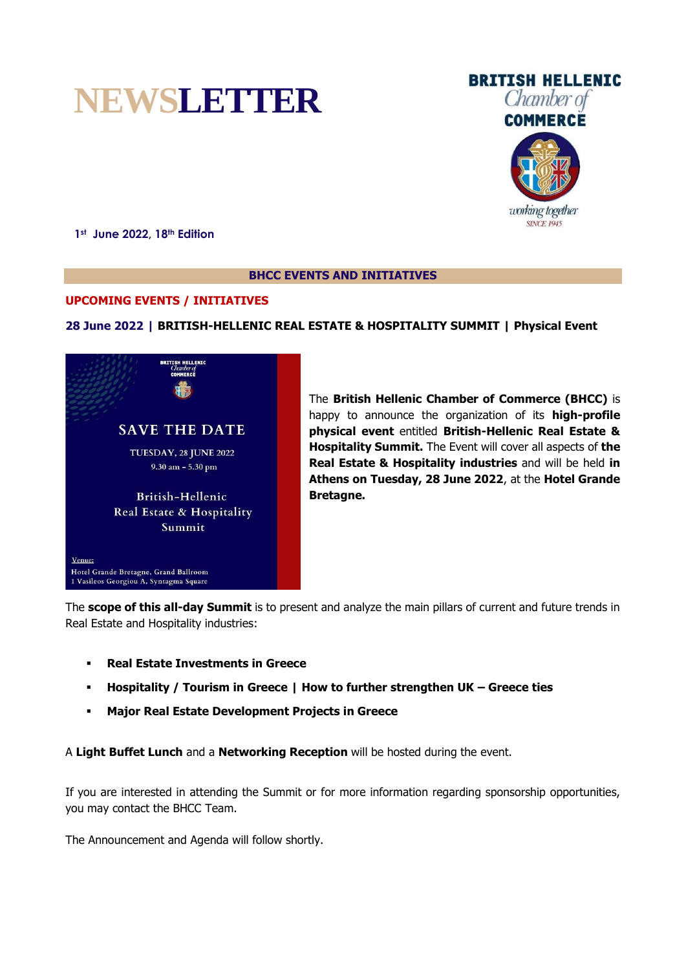



**1st June 2022, 18th Edition**

### **BHCC EVENTS AND INITIATIVES**

# **UPCOMING EVENTS / INITIATIVES**

# **28 June 2022 | BRITISH-HELLENIC REAL ESTATE & HOSPITALITY SUMMIT | Physical Event**



The **British Hellenic Chamber of Commerce (BHCC)** is happy to announce the organization of its **high-profile physical event** entitled **British-Hellenic Real Estate & Hospitality Summit.** The Event will cover all aspects of **the Real Estate & Hospitality industries** and will be held **in Athens on Tuesday, 28 June 2022**, at the **Hotel Grande Bretagne.**

The **scope of this all-day Summit** is to present and analyze the main pillars of current and future trends in Real Estate and Hospitality industries:

- **Real Estate Investments in Greece**
- **Hospitality / Tourism in Greece | How to further strengthen UK – Greece ties**
- **Major Real Estate Development Projects in Greece**

A **Light Buffet Lunch** and a **Networking Reception** will be hosted during the event.

If you are interested in attending the Summit or for more information regarding sponsorship opportunities, you may contact the BHCC Team.

The Announcement and Agenda will follow shortly.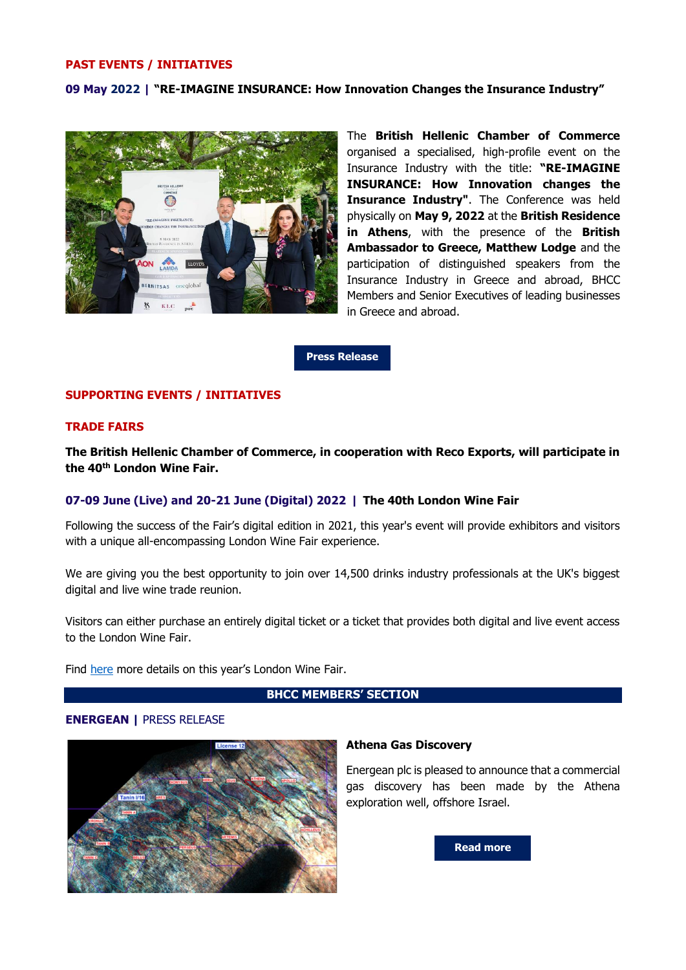#### **PAST EVENTS / INITIATIVES**

### **09 May 2022 | "RE-IMAGINE INSURANCE: How Innovation Changes the Insurance Industry"**



The **British Hellenic Chamber of Commerce** organised a specialised, high-profile event on the Insurance Industry with the title: **"RE-IMAGINE INSURANCE: How Innovation changes the Insurance Industry"**. The Conference was held physically on **May 9, 2022** at the **British Residence in Athens**, with the presence of the **British Ambassador to Greece, Matthew Lodge** and the participation of distinguished speakers from the Insurance Industry in Greece and abroad, BHCC Members and Senior Executives of leading businesses in Greece and abroad.

**[Press Release](http://www.bhcc.gr/news/chamber-news/389-announcement-re-imagine-insurance-how-innovation-changes-the-insurance-industry-09-may-2022)**

### **SUPPORTING EVENTS / INITIATIVES**

### **TRADE FAIRS**

**The British Hellenic Chamber of Commerce, in cooperation with Reco Exports, will participate in the 40th London Wine Fair.**

## **07-09 June (Live) and 20-21 June (Digital) 2022 | The 40th London Wine Fair**

Following the success of the Fair's digital edition in 2021, this year's event will provide exhibitors and visitors with a unique all-encompassing London Wine Fair experience.

We are giving you the best opportunity to join over 14,500 drinks industry professionals at the UK's biggest digital and live wine trade reunion.

Visitors can either purchase an entirely digital ticket or a ticket that provides both digital and live event access to the London Wine Fair.

Find [here](https://www.londonwinefair.com/) more details on this year's London Wine Fair.

## **BHCC MEMBERS' SECTION**

#### **ENERGEAN |** PRESS RELEASE



#### **Athena Gas Discovery**

Energean plc is pleased to announce that a commercial gas discovery has been made by the Athena exploration well, offshore Israel.

**[Read more](https://www.energean.com/media/5192/athena-gas-discovery.pdf)**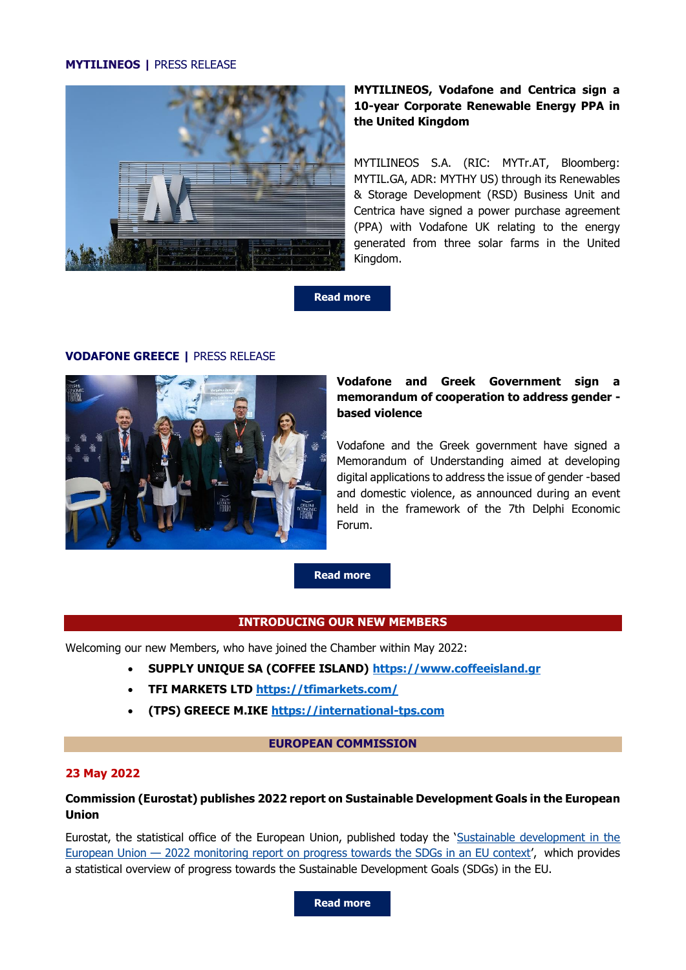## **MYTILINEOS |** PRESS RELEASE



# **MYTILINEOS, Vodafone and Centrica sign a 10-year Corporate Renewable Energy PPA in the United Kingdom**

MYTILINEOS S.A. (RIC: MYTr.AT, Bloomberg: MYTIL.GA, ADR: MYTHY US) through its Renewables & Storage Development (RSD) Business Unit and Centrica have signed a power purchase agreement (PPA) with Vodafone UK relating to the energy generated from three solar farms in the United Kingdom.

**[Read more](https://www.mytilineos.gr/news/press-releases/mytilineos-vodafone-and-centrica-sign-a-10-year-corporate-renewable-energy-ppa-in-the-united-kingdom-11-05-22/)**

# **VODAFONE GREECE |** PRESS RELEASE



# **Vodafone and Greek Government sign a memorandum of cooperation to address gender based violence**

Vodafone and the Greek government have signed a Memorandum of Understanding aimed at developing digital applications to address the issue of gender -based and domestic violence, as announced during an event held in the framework of the 7th Delphi Economic Forum.

**[Read more](https://mcusercontent.com/98e56585fe03b26122e60752c/files/490c2c0d-b9f6-5d72-076a-41aade21aaad/Vodafone_MoU_en.pdf)**

# **INTRODUCING OUR NEW MEMBERS**

Welcoming our new Members, who have joined the Chamber within May 2022:

- **SUPPLY UNIQUE SA (COFFEE ISLAND) [https://www.coffeeisland.gr](https://www.coffeeisland.gr/)**
- **TFI MARKETS LTD <https://tfimarkets.com/>**
- **(TPS) GREECE M.IKE [https://international-tps.com](https://international-tps.com/)**

#### **EUROPEAN COMMISSION**

#### **23 May 2022**

# **Commission (Eurostat) publishes 2022 report on Sustainable Development Goals in the European Union**

Eurostat, the statistical office of the European Union, published today the '[Sustainable development in the](https://ec.europa.eu/eurostat/product?code=KS-09-22-019)  European Union — [2022 monitoring report on progress towards the SDGs in an EU context](https://ec.europa.eu/eurostat/product?code=KS-09-22-019)', which provides a statistical overview of progress towards the Sustainable Development Goals (SDGs) in the EU.

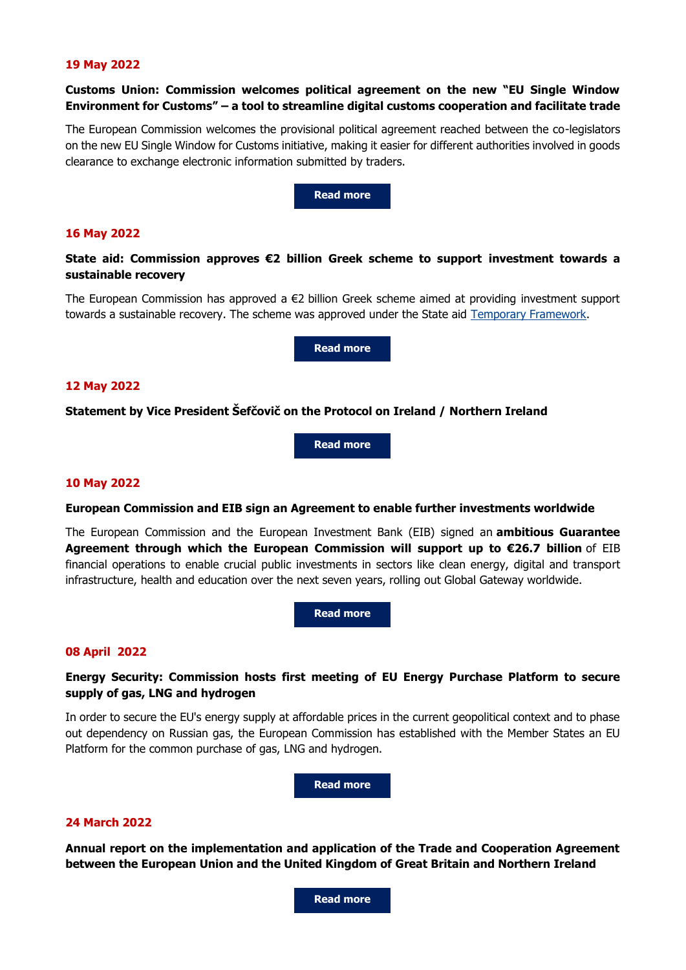### **19 May 2022**

# **Customs Union: Commission welcomes political agreement on the new "EU Single Window Environment for Customs" – a tool to streamline digital customs cooperation and facilitate trade**

The European Commission welcomes the provisional political agreement reached between the co-legislators on the new EU Single Window for Customs initiative, making it easier for different authorities involved in goods clearance to exchange electronic information submitted by traders.

**[Read more](https://ec.europa.eu/commission/presscorner/detail/en/ip_22_3210)**

### **16 May 2022**

# **State aid: Commission approves €2 billion Greek scheme to support investment towards a sustainable recovery**

The European Commission has approved a €2 billion Greek scheme aimed at providing investment support towards a sustainable recovery. The scheme was approved under the State aid [Temporary Framework.](https://eur-lex.europa.eu/legal-content/EN/TXT/?uri=OJ%3AJOC_2020_091_I_0001)

**[Read more](https://ec.europa.eu/commission/presscorner/detail/en/ip_22_2703)**

### **12 May 2022**

### **Statement by Vice President Šefčovič on the Protocol on Ireland / Northern Ireland**

**[Read more](https://ec.europa.eu/commission/presscorner/detail/en/STATEMENT_22_3033)**

#### **10 May 2022**

#### **European Commission and EIB sign an Agreement to enable further investments worldwide**

The European Commission and the European Investment Bank (EIB) signed an **ambitious Guarantee Agreement through which the European Commission will support up to €26.7 billion** of EIB financial operations to enable crucial public investments in sectors like clean energy, digital and transport infrastructure, health and education over the next seven years, rolling out Global Gateway worldwide.

**[Read more](https://ec.europa.eu/commission/presscorner/detail/en/ip_22_2870)**

### **08 April 2022**

# **Energy Security: Commission hosts first meeting of EU Energy Purchase Platform to secure supply of gas, LNG and hydrogen**

In order to secure the EU's energy supply at affordable prices in the current geopolitical context and to phase out dependency on Russian gas, the European Commission has established with the Member States an EU Platform for the common purchase of gas, LNG and hydrogen.

**[Read more](https://ec.europa.eu/commission/presscorner/detail/en/ip_22_2387)**

### **24 March 2022**

**Annual report on the implementation and application of the Trade and Cooperation Agreement between the European Union and the United Kingdom of Great Britain and Northern Ireland**

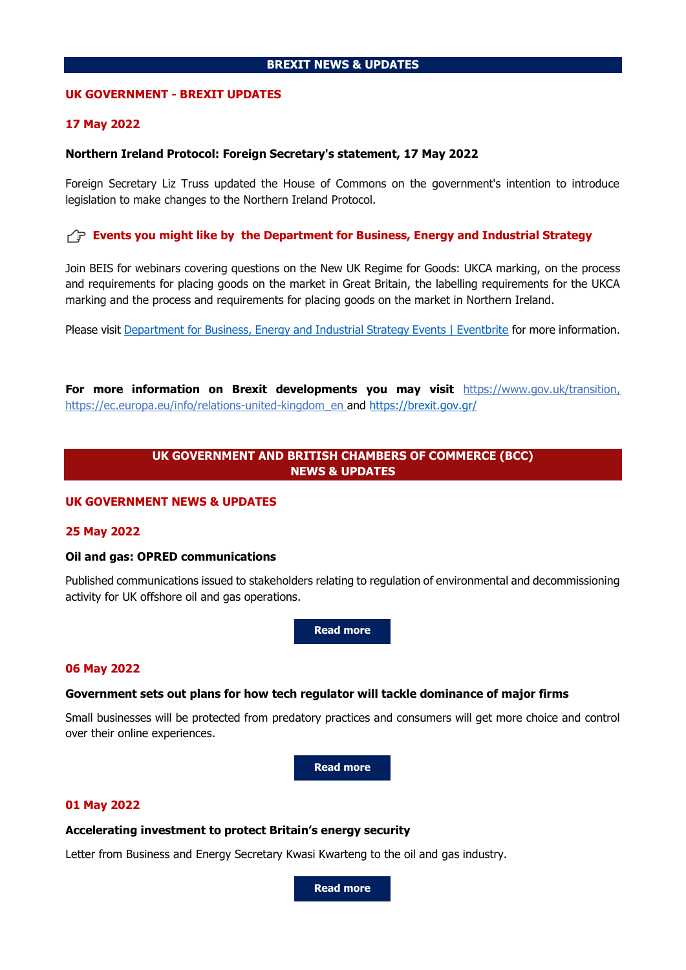## **BREXIT NEWS & UPDATES**

### **UK GOVERNMENT - BREXIT UPDATES**

### **17 May 2022**

### **Northern Ireland Protocol: Foreign Secretary's statement, 17 May 2022**

Foreign Secretary Liz Truss updated the House of Commons on the government's intention to introduce legislation to make changes to the Northern Ireland Protocol.

## **Events you might like by the Department for Business, Energy and Industrial Strategy**

Join BEIS for webinars covering questions on the New UK Regime for Goods: UKCA marking, on the process and requirements for placing goods on the market in Great Britain, the labelling requirements for the UKCA marking and the process and requirements for placing goods on the market in Northern Ireland.

Please visit [Department for Business, Energy and Industrial Strategy Events | Eventbrite](https://www.eventbrite.co.uk/o/department-for-business-energy-and-industrial-strategy-36088170163) for more information.

**For more information on Brexit developments you may visit** [https://www.gov.uk/transition,](https://www.gov.uk/transition) [https://ec.europa.eu/info/relations-united-kingdom\\_en](https://ec.europa.eu/info/relations-united-kingdom_en) and <https://brexit.gov.gr/>

# **UK GOVERNMENT AND BRITISH CHAMBERS OF COMMERCE (BCC) NEWS & UPDATES**

### **UK GOVERNMENT NEWS & UPDATES**

### **25 May 2022**

### **Oil and gas: OPRED communications**

Published communications issued to stakeholders relating to regulation of environmental and decommissioning activity for UK offshore oil and gas operations.

**[Read more](https://www.gov.uk/government/publications/oil-and-gas-opred-communications)**

### **06 May 2022**

### **Government sets out plans for how tech regulator will tackle dominance of major firms**

Small businesses will be protected from predatory practices and consumers will get more choice and control over their online experiences.

**[Read more](https://www.gov.uk/government/news/government-sets-out-plans-for-how-tech-regulator-will-tackle-dominance-of-major-firms)**

### **01 May 2022**

#### **Accelerating investment to protect Britain's energy security**

Letter from Business and Energy Secretary Kwasi Kwarteng to the oil and gas industry.

**[Read more](https://www.gov.uk/government/publications/accelerating-investment-to-protect-britains-energy-security)**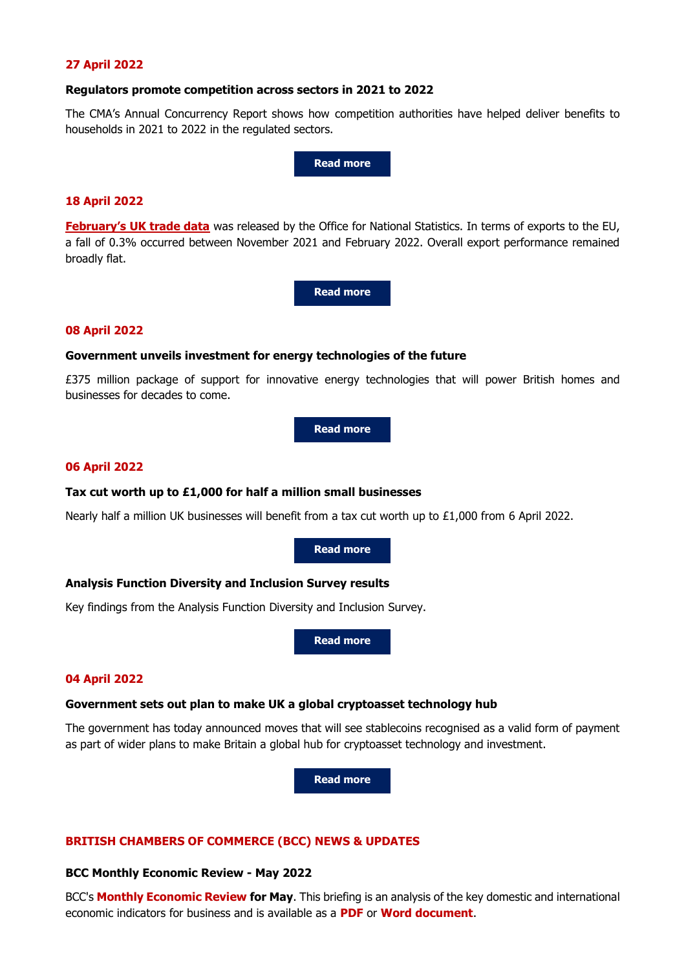# **27 April 2022**

#### **Regulators promote competition across sectors in 2021 to 2022**

The CMA's Annual Concurrency Report shows how competition authorities have helped deliver benefits to households in 2021 to 2022 in the regulated sectors.

**[Read more](https://www.gov.uk/government/news/regulators-promote-competition-across-sectors-in-2021-to-2022)**

### **18 April 2022**

**[February's UK trade data](https://response.gv-c.com/Mail/Click/224?a=93F59CF1CC62425910AA631307F21776&r=3DC8A0987A997F2D85D4EF1316B171C9&v=)** was released by the Office for National Statistics. In terms of exports to the EU, a fall of 0.3% occurred between November 2021 and February 2022. Overall export performance remained broadly flat.

**[Read more](https://www.ons.gov.uk/economy/nationalaccounts/balanceofpayments/bulletins/uktrade/february2022)**

### **08 April 2022**

### **Government unveils investment for energy technologies of the future**

£375 million package of support for innovative energy technologies that will power British homes and businesses for decades to come.

**[Read more](https://www.gov.uk/government/news/government-unveils-investment-for-energy-technologies-of-the-future)**

#### **06 April 2022**

#### **Tax cut worth up to £1,000 for half a million small businesses**

Nearly half a million UK businesses will benefit from a tax cut worth up to £1,000 from 6 April 2022.

**[Read more](https://www.gov.uk/government/news/tax-cut-worth-up-to-1000-for-half-a-million-small-businesses-starts-today)**

### **Analysis Function Diversity and Inclusion Survey results**

Key findings from the Analysis Function Diversity and Inclusion Survey.

**[Read more](https://www.gov.uk/government/news/analysis-function-diversity-and-inclusion-survey-results)**

#### **04 April 2022**

# **Government sets out plan to make UK a global cryptoasset technology hub**

The government has today announced moves that will see stablecoins recognised as a valid form of payment as part of wider plans to make Britain a global hub for cryptoasset technology and investment.

**[Read more](https://www.gov.uk/government/news/government-sets-out-plan-to-make-uk-a-global-cryptoasset-technology-hub)**

## **BRITISH CHAMBERS OF COMMERCE (BCC) NEWS & UPDATES**

### **BCC Monthly Economic Review - May 2022**

BCC's **[Monthly Economic Review](https://www.britishchambers.org.uk/page/policy-and-media-centre/policy-reports-publications/monthly-economic-review) for May**. This briefing is an analysis of the key domestic and international economic indicators for business and is available as a **[PDF](https://images.gv-c.com/216/Documents/5532/BCC_Monthly_Economic_Review_May_2022.pdf)** or **[Word document](https://view.officeapps.live.com/op/view.aspx?src=https%3A%2F%2Fimages.gv-c.com%2F216%2FDocuments%2F5533%2FBCC_Monthly_Economic_Review_May_2022.docx&wdOrigin=BROWSELINK)**.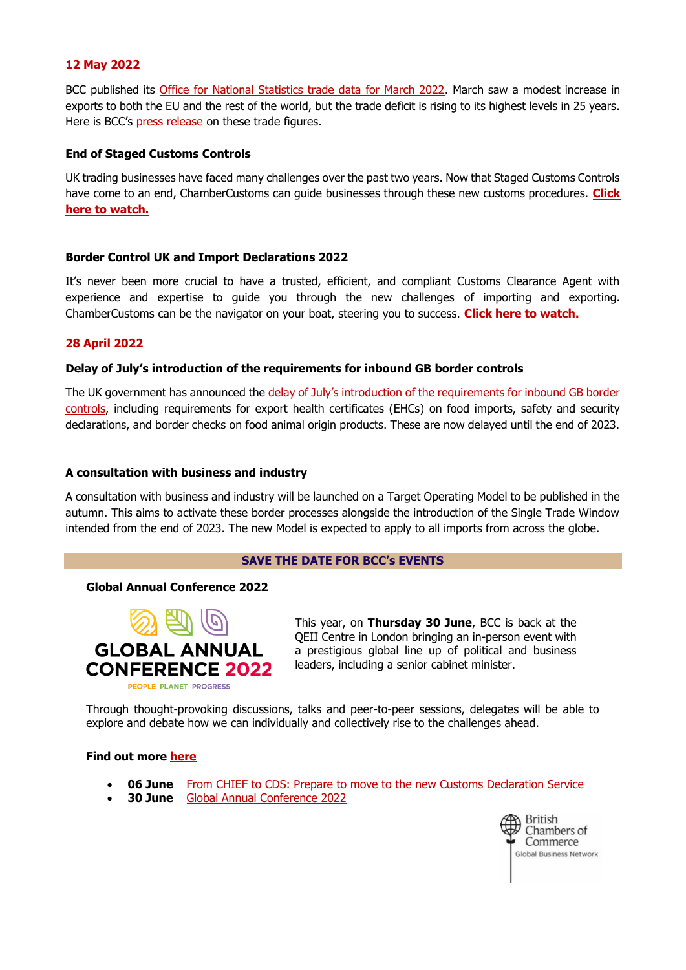# **12 May 2022**

BCC published its [Office for National Statistics trade data for March 2022.](https://response.gv-c.com/Mail/Click/224?a=A54993A3A49FE7E5F4125ED38BA69958&r=AC7C62C1E14A5A7A695B46D5A280995C&v=) March saw a modest increase in exports to both the EU and the rest of the world, but the trade deficit is rising to its highest levels in 25 years. Here is BCC's [press release](https://response.gv-c.com/Mail/Click/224?a=F1BF33F19A6C2A59D61BCA057597EABF&r=AC7C62C1E14A5A7A695B46D5A280995C&v=) on these trade figures.

# **End of Staged Customs Controls**

UK trading businesses have faced many challenges over the past two years. Now that Staged Customs Controls have come to an end, ChamberCustoms can guide businesses through these new customs procedures. **[Click](https://www.youtube.com/watch?v=B71AZn9EB6I)  [here to watch.](https://www.youtube.com/watch?v=B71AZn9EB6I)**

# **Border Control UK and Import Declarations 2022**

It's never been more crucial to have a trusted, efficient, and compliant Customs Clearance Agent with experience and expertise to guide you through the new challenges of importing and exporting. ChamberCustoms can be the navigator on your boat, steering you to success. **[Click here to watch.](https://response.gv-c.com/Mail/Click/224?a=C1406B36C829F7AA296F4446CBA3DEB8&r=AC7C62C1E14A5A7A695B46D5A280995C&v=)**

# **28 April 2022**

# **Delay of July's introduction of the requirements for inbound GB border controls**

The UK government has announced the delay of July's introduction of the requirements for inbound GB border [controls,](https://response.gv-c.com/Mail/Click/224?a=30F5566EAC2BD010EF31826667453DC1&r=AC7C62C1E14A5A7A695B46D5A280995C&v=) including requirements for export health certificates (EHCs) on food imports, safety and security declarations, and border checks on food animal origin products. These are now delayed until the end of 2023.

# **A consultation with business and industry**

A consultation with business and industry will be launched on a Target Operating Model to be published in the autumn. This aims to activate these border processes alongside the introduction of the Single Trade Window intended from the end of 2023. The new Model is expected to apply to all imports from across the globe.

# **SAVE THE DATE FOR BCC's EVENTS**

# **Global Annual Conference 2022**



This year, on **Thursday 30 June**, BCC is back at the QEII Centre in London bringing an in-person event with a prestigious global line up of political and business leaders, including a senior cabinet minister.

Through thought-provoking discussions, talks and peer-to-peer sessions, delegates will be able to explore and debate how we can individually and collectively rise to the challenges ahead.

# **Find out more [here](https://www.britishchambers.org.uk/events/annual-conference)**

- **06 June** [From CHIEF to CDS: Prepare to move to the new Customs Declaration Service](https://response.gv-c.com/Mail/Click/224?a=C65B7F95D0CC6D7E3546C6DD4922829A&r=AC7C62C1E14A5A7A695B46D5A280995C&v=)
- **30 June** [Global Annual Conference 2022](https://response.gv-c.com/Mail/Click/224?a=DFAAD95139FD2D0C3089E7D3471CD5A3&r=AC7C62C1E14A5A7A695B46D5A280995C&v=)